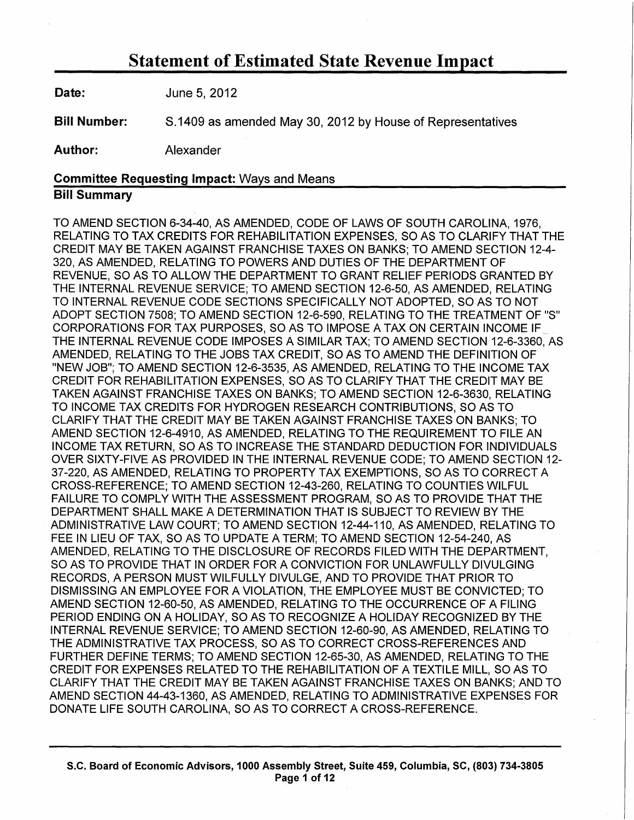**Date: June 5, 2012** 

Bill Number: 8.1409 as amended May 30, 2012 by House of Representatives

Author: Alexander

#### Committee Requesting Impact: Ways and Means

### Bill Summary

TO AMEND SECTION 6-34-40, AS AMENDED, CODE OF LAWS OF SOUTH CAROLINA, 1976, RELATING TO TAX CREDITS FOR REHABILITATION EXPENSES, SO AS TO CLARIFY THAT THE CREDIT MAY BE TAKEN AGAINST FRANCHISE TAXES ON BANKS; TO AMEND SECTION 12-4- 320, AS AMENDED, RELATING TO POWERS AND DUTIES OF THE DEPARTMENT OF REVENUE, SO AS TO ALLOW THE DEPARTMENT TO GRANT RELIEF PERIODS GRANTED BY THE INTERNAL REVENUE SERVICE; TO AMEND SECTION 12-6-50, AS AMENDED, RELATING TO INTERNAL REVENUE CODE SECTIONS SPECIFICALLY NOT ADOPTED, SO AS TO NOT ADOPT SECTION 7508; TO AMEND SECTION 12-6-590, RELATING TO THE TREATMENT OF "S" CORPORATIONS FOR TAX PURPOSES, SO AS TO IMPOSE A TAX ON CERTAIN INCOME IF THE INTERNAL REVENUE CODE IMPOSES A SIMILAR TAX; TO AMEND SECTION 12-6-3360, AS AMENDED, RELATING TO THE JOBS TAX CREDIT, SO AS TO AMEND THE DEFINITION OF "NEW JOB"; TO AMEND SECTION 12-6-3535, AS AMENDED, RELATING TO THE INCOME TAX CREDIT FOR REHABILITATION EXPENSES, SO AS TO CLARIFY THAT THE CREDIT MAY BE TAKEN AGAINST FRANCHISE TAXES ON BANKS; TO AMEND SECTION 12-6-3630, RELATING TO INCOME TAX CREDITS FOR HYDROGEN RESEARCH CONTRIBUTIONS, SO AS TO CLARIFY THAT THE CREDIT MAY BE TAKEN AGAINST FRANCHISE TAXES ON BANKS; TO AMEND SECTION 12-6-4910, AS AMENDED, RELATING TO THE REQUIREMENT TO FILE AN INCOME TAX RETURN, SO AS TO INCREASE THE STANDARD DEDUCTION FOR INDIVIDUALS OVER SIXTY-FIVE AS PROVIDED IN THE INTERNAL REVENUE CODE; TO AMEND SECTION 12- 37-220, AS AMENDED, RELATING TO PROPERTY TAX EXEMPTIONS, SO AS TO CORRECT A CROSS-REFERENCE; TO AMEND SECTION 12-43-260, RELATING TO COUNTIES WILFUL FAILURE TO COMPLY WITH THE ASSESSMENT PROGRAM, SO AS TO PROVIDE THAT THE DEPARTMENT SHALL MAKE A DETERMINATION THAT IS SUBJECT TO REVIEW BY THE ADMINISTRATIVE LAW COURT; TO AMEND SECTION 12-44-110, AS AMENDED, RELATING TO FEE IN LIEU OF TAX, SO AS TO UPDATE A TERM; TO AMEND SECTION 12-54-240, AS AMENDED, RELATING TO THE DISCLOSURE OF RECORDS FILED WITH THE DEPARTMENT, SO AS TO PROVIDE THAT IN ORDER FOR A CONVICTION FOR UNLAWFULLY DIVULGING RECORDS, A PERSON MUST WILFULLY DIVULGE, AND TO PROVIDE THAT PRIOR TO DISMISSING AN EMPLOYEE FOR A VIOLATION, THE EMPLOYEE MUST BE CONVICTED; TO AMEND SECTION 12-60-50, AS AMENDED, RELATING TO THE OCCURRENCE OF A FILING PERIOD ENDING ON A HOLIDAY, SO AS TO RECOGNIZE A HOLIDAY RECOGNIZED BY THE INTERNAL REVENUE SERVICE; TO AMEND SECTION 12-60-90, AS AMENDED, RELATING TO THE ADMINISTRATIVE TAX PROCESS, SO AS TO CORRECT CROSS-REFERENCES AND FURTHER DEFINE TERMS; TO AMEND SECTION 12-65-30, AS AMENDED, RELATING TO THE CREDIT FOR EXPENSES RELATED TO THE REHABILITATION OF A TEXTILE MILL, SO AS TO CLARIFY THAT THE CREDIT MAY BE TAKEN AGAINST FRANCHISE TAXES ON BANKS; AND TO AMEND SECTION 44-43-1360, AS AMENDED, RELATING TO ADMINISTRATIVE EXPENSES FOR DONATE LIFE SOUTH CAROLINA, SO AS TO CORRECT A CROSS-REFERENCE.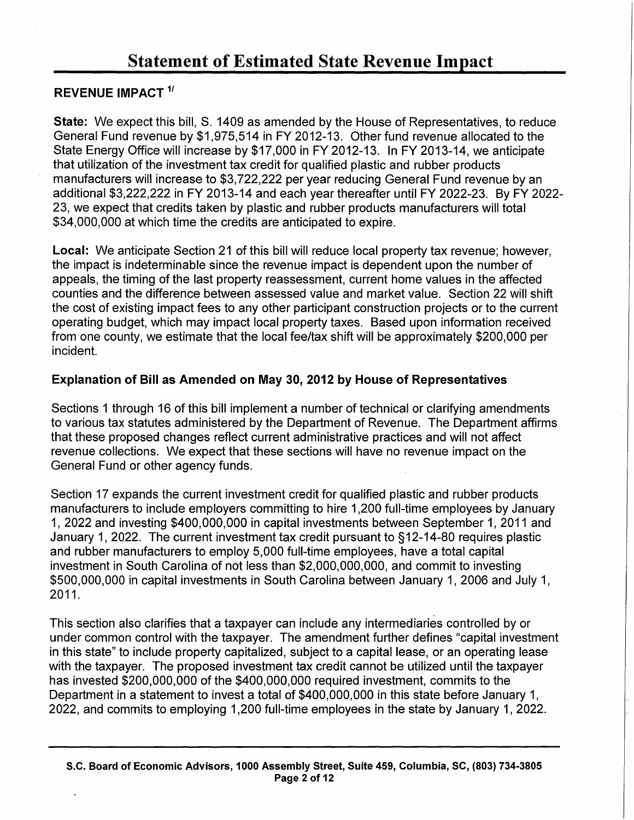### REVENUE IMPACT<sup>1/</sup>

State: We expect this bill, S. 1409 as amended by the House of Representatives, to reduce General Fund revenue by \$1,975,514 in FY 2012-13. Other fund revenue allocated to the State Energy Office will increase by \$17,000 in FY 2012-13. In FY 2013-14, we anticipate that utilization of the investment tax credit for qualified plastic and rubber products manufacturers will increase to \$3,722,222 per year reducing General Fund revenue by an additional \$3,222,222 in FY 2013-14 and each year thereafter until FY 2022-23. By FY 2022- 23, we expect that credits taken by plastic and rubber products manufacturers will total \$34,000,000 at which time the credits are anticipated to expire.

Local: We anticipate Section 21 of this bill will reduce local property tax revenue; however, the impact is indeterminable since the revenue impact is dependent upon the number of appeals, the timing of the last property reassessment, current home values in the affected counties and the difference between assessed value and market value. Section 22 will shift the cost of existing impact fees to any other participant construction projects or to the current operating budget, which may impact local property taxes. Based upon information received from one county, we estimate that the local fee/tax shift will be approximately \$200,000 per incident.

### Explanation of Bill as Amended on May 30, 2012 by House of Representatives

Sections 1 through 16 of this bill implement a number of technical or clarifying amendments to various tax statutes administered by the Department of Revenue. The Department affirms that these proposed changes reflect current administrative practices and will not affect revenue collections. We expect that these sections will have no revenue impact on the General Fund or other agency funds.

Section 17 expands the current investment credit for qualified plastic and rubber products manufacturers to include employers committing to hire 1 ,200 full-time employees by January 1, 2022 and investing \$400,000,000 in capital investments between September 1, 2011 and January 1, 2022. The current investment tax credit pursuant to § 12-14-80 requires plastic and rubber manufacturers to employ 5,000 full-time employees, have a total capital investment in South Carolina of not less than \$2,000,000,000, and commit to investing \$500,000,000 in capital investments in South Carolina between January 1, 2006 and July 1, 2011.

This section also clarifies that a taxpayer can include any intermediaries controlled by or under common control with the taxpayer. The amendment further defines "capital investment in this state" to include property capitalized, subject to a capital lease, or an operating lease with the taxpayer. The proposed investment tax credit cannot be utilized until the taxpayer has invested \$200,000,000 of the \$400,000,000 required investment, commits to the Department in a statement to invest a total of \$400,000,000 in this state before January 1, 2022, and commits to employing 1 ,200 full-time employees in the state by January 1, 2022.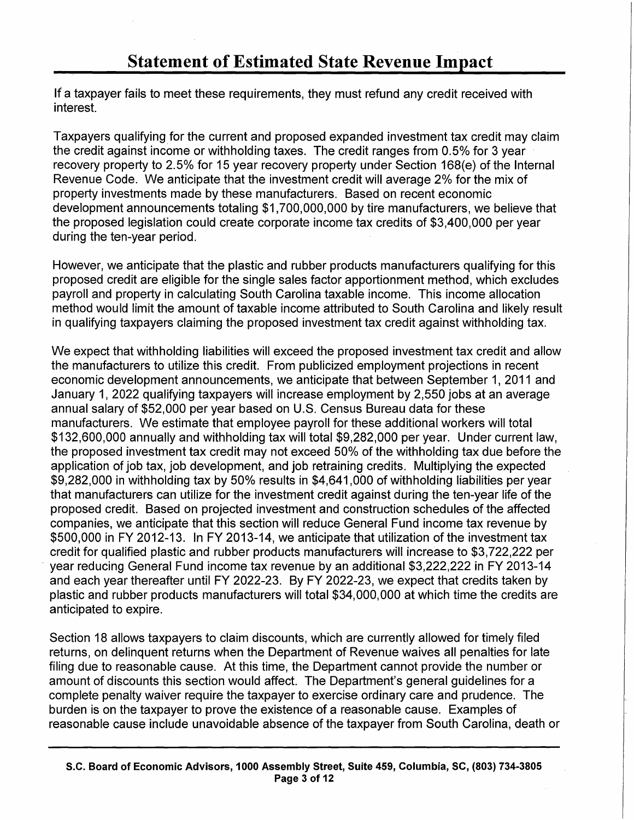If a taxpayer fails to meet these requirements, they must refund any credit received with interest.

Taxpayers qualifying for the current and proposed expanded investment tax credit may claim the credit against income or withholding taxes. The credit ranges from 0.5% for 3 year recovery property to 2.5% for 15 year recovery property under Section 168(e) of the Internal Revenue Code. We anticipate that the investment credit will average 2% for the mix of property investments made by these manufacturers. Based on recent economic development announcements totaling \$1,700,000,000 by tire manufacturers, we believe that the proposed legislation could create corporate income tax credits of \$3,400,000 per year during the ten-year period.

However, we anticipate that the plastic and rubber products manufacturers qualifying for this proposed credit are eligible for the single sales factor apportionment method, which excludes payroll and property in calculating South Carolina taxable income. This income allocation method would limit the amount of taxable income attributed to South Carolina and likely result in qualifying taxpayers claiming the proposed investment tax credit against withholding tax.

We expect that withholding liabilities will exceed the proposed investment tax credit and allow the manufacturers to utilize this credit. From publicized employment projections in recent economic development announcements, we anticipate that between September 1, 2011 and January 1, 2022 qualifying taxpayers will increase employment by 2,550 jobs at an average annual salary of \$52,000 per year based on U.S. Census Bureau data for these manufacturers. We estimate that employee payroll for these additional workers will total \$132,600,000 annually and withholding tax will total \$9,282,000 per year. Under current law, the proposed investment tax credit may not exceed 50% of the withholding tax due before the application of job tax, job development, and job retraining credits. Multiplying the expected \$9,282,000 in withholding tax by 50% results in \$4,641,000 of withholding liabilities per year that manufacturers can utilize for the investment credit against during the ten-year life of the proposed credit. Based on projected investment and construction schedules of the affected companies, we anticipate that this section will reduce General Fund income tax revenue by \$500,000 in FY 2012-13. In FY 2013-14, we anticipate that utilization of the investment tax credit for qualified plastic and rubber products manufacturers will increase to \$3,722,222 per year reducing General Fund income tax revenue by an additional \$3,222,222 in FY 2013-14 and each year thereafter until FY 2022-23. By FY 2022-23, we expect that credits taken by plastic and rubber products manufacturers will total \$34,000,000 at which time the credits are anticipated to expire.

Section 18 allows taxpayers to claim discounts, which are currently allowed for timely filed returns, on delinquent returns when the Department of Revenue waives all penalties for late filing due to reasonable cause. At this time, the Department cannot provide the number or amount of discounts this section would affect. The Department's general guidelines for a complete penalty waiver require the taxpayer to exercise ordinary care and prudence. The burden is on the taxpayer to prove the existence of a reasonable cause. Examples of reasonable cause include unavoidable absence of the taxpayer from South Carolina, death or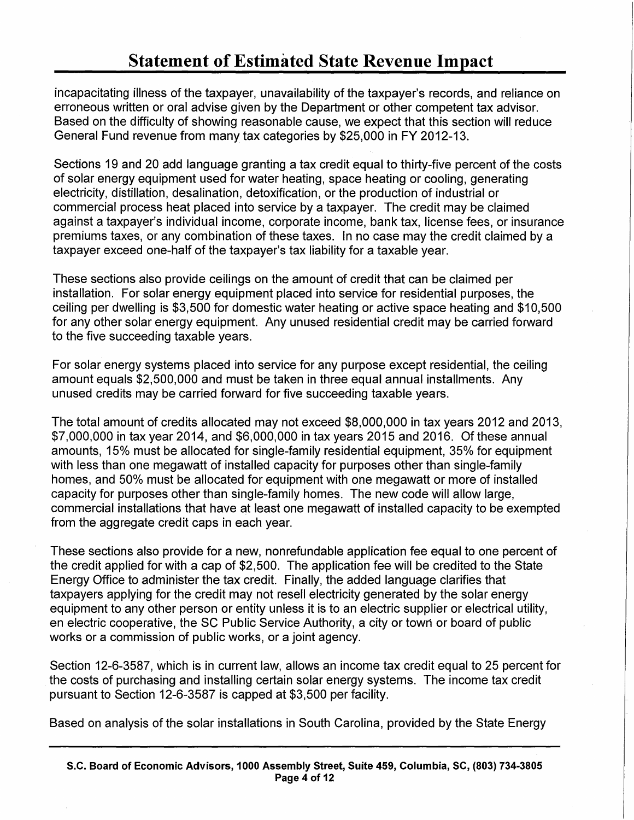incapacitating illness of the taxpayer, unavailability of the taxpayer's records, and reliance on erroneous written or oral advise given by the Department or other competent tax advisor. Based on the difficulty of showing reasonable cause, we expect that this section will reduce General Fund revenue from many tax categories by \$25,000 in FY 2012-13.

Sections 19 and 20 add language granting a tax credit equal to thirty-five percent of the costs of solar energy equipment used for water heating, space heating or cooling, generating electricity, distillation, desalination, detoxification, or the production of industrial or commercial process heat placed into service by a taxpayer. The credit may be claimed against a taxpayer's individual income, corporate income, bank tax, license fees, or insurance premiums taxes, or any combination of these taxes. In no case may the credit claimed by a taxpayer exceed one-half of the taxpayer's tax liability for a taxable year.

These sections also provide ceilings on the amount of credit that can be claimed per installation. For solar energy equipment placed into service for residential purposes, the ceiling per dwelling is \$3,500 for domestic water heating or active space heating and \$10,500 for any other solar energy equipment. Any unused residential credit may be carried forward to the five succeeding taxable years.

For solar energy systems placed into service for any purpose except residential, the ceiling amount equals \$2,500,000 and must be taken in three equal annual installments. Any unused credits may be carried forward for five succeeding taxable years.

The total amount of credits allocated may not exceed \$8,000,000 in tax years 2012 and 2013, \$7,000,000 in tax year 2014, and \$6,000,000 in tax years 2015 and 2016. Of these annual amounts, 15% must be allocated for single-family residential equipment, 35% for equipment with less than one megawatt of installed capacity for purposes other than single-family homes, and 50% must be allocated for equipment with one megawatt or more of installed capacity for purposes other than single-family homes. The new code will allow large, commercial installations that have at least one megawatt of installed capacity to be exempted from the aggregate credit caps in each year.

These sections also provide for a new, nonrefundable application fee equal to one percent of the credit applied for with a cap of \$2,500. The application fee will be credited to the State Energy Office to administer the tax credit. Finally, the added language clarifies that taxpayers applying for the credit may not resell electricity generated by the solar energy equipment to any other person or entity unless it is to an electric supplier or electrical utility, en electric cooperative, the SC Public Service Authority, a city or town or board of public works or a commission of public works, or a joint agency.

Section 12-6-3587, which is in current law, allows an income tax credit equal to 25 percent for the costs of purchasing and installing certain solar energy systems. The income tax credit pursuant to Section 12-6-3587 is capped at \$3,500 per facility.

Based on analysis of the solar installations in South Carolina, provided by the State Energy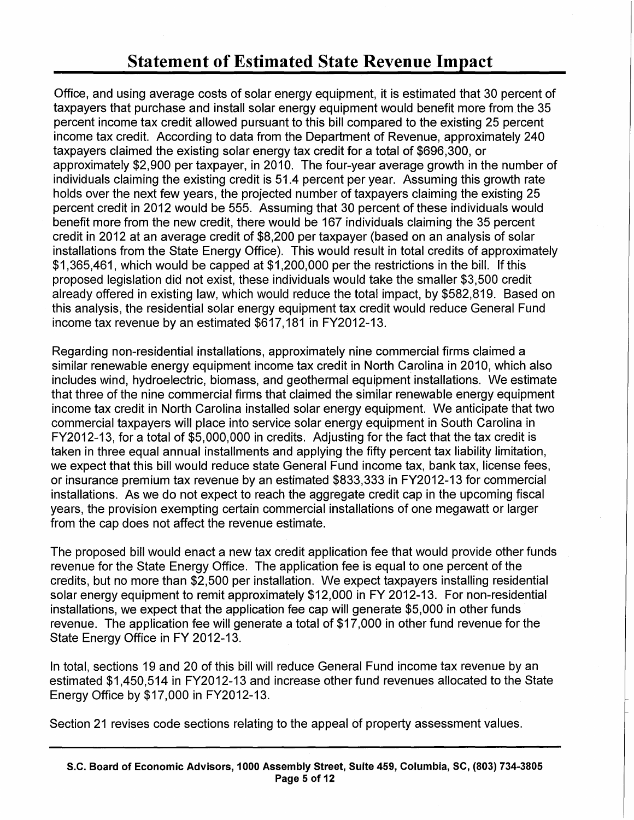Office, and using average costs of solar energy equipment, it is estimated that 30 percent of taxpayers that purchase and install solar energy equipment would benefit more from the 35 percent income tax credit allowed pursuant to this bill compared to the existing 25 percent income tax credit. According to data from the Department of Revenue, approximately 240 taxpayers claimed the existing solar energy tax credit for a total of \$696,300, or approximately \$2,900 per taxpayer, in 2010. The four-year average growth in the number of individuals claiming the existing credit is 51.4 percent per year. Assuming this growth rate holds over the next few years, the projected number of taxpayers claiming the existing 25 percent credit in 2012 would be 555. Assuming that 30 percent of these individuals would benefit more from the new credit, there would be 167 individuals claiming the 35 percent credit in 2012 at an average credit of \$8,200 per taxpayer (based on an analysis of solar installations from the State Energy Office). This would result in total credits of approximately \$1,365,461, which would be capped at \$1,200,000 per the restrictions in the bill. If this proposed legislation did not exist, these individuals would take the smaller \$3,500 credit already offered in existing law, which would reduce the total impact, by \$582,819. Based on this analysis, the residential solar energy equipment tax credit would reduce General Fund income tax revenue by an estimated \$617,181 in FY2012-13.

Regarding non-residential installations, approximately nine commercial firms claimed a similar renewable energy equipment income tax credit in North Carolina in 2010, which also includes wind, hydroelectric, biomass, and geothermal equipment installations. We estimate that three of the nine commercial firms that claimed the similar renewable energy equipment income tax credit in North Carolina installed solar energy equipment. We anticipate that two commercial taxpayers will place into service solar energy equipment in South Carolina in FY2012-13, for a total of \$5,000,000 in credits. Adjusting for the fact that the tax credit is taken in three equal annual installments and applying the fifty percent tax liability limitation, we expect that this bill would reduce state General Fund income tax, bank tax, license fees, or insurance premium tax revenue by an estimated \$833,333 in FY2012-13 for commercial installations. As we do not expect to reach the aggregate credit cap in the upcoming fiscal years, the provision exempting certain commercial installations of one megawatt or larger from the cap does not affect the revenue estimate.

The proposed bill would enact a new tax credit application fee that would provide other funds revenue for the State Energy Office. The application fee is equal to one percent of the credits, but no more than \$2,500 per installation. We expect taxpayers installing residential solar energy equipment to remit approximately \$12,000 in FY 2012-13. For non-residential installations, we expect that the application fee cap will generate \$5,000 in other funds revenue. The application fee will generate a total of \$17,000 in other fund revenue for the State Energy Office in FY 2012-13.

In total, sections 19 and 20 of this bill will reduce General Fund income tax revenue by an estimated \$1,450,514 in FY2012-13 and increase other fund revenues allocated to the State Energy Office by \$17,000 in FY2012-13.

Section 21 revises code sections relating to the appeal of property assessment values.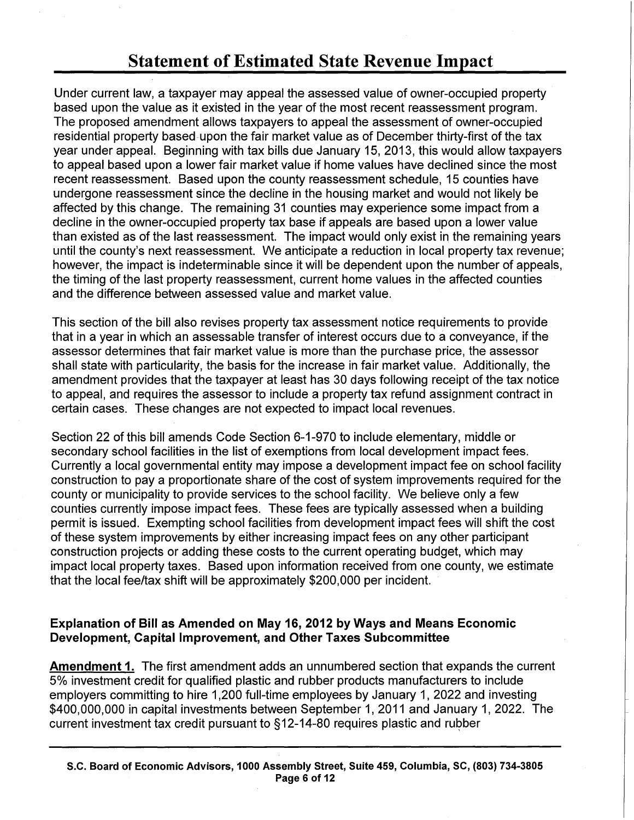Under current law, a taxpayer may appeal the assessed value of owner-occupied property based upon the value as it existed in the year of the most recent reassessment program. The proposed amendment allows taxpayers to appeal the assessment of owner-occupied residential property based-upon the fair market value as of December thirty-first of the tax year under appeal. Beginning with tax bills due January 15, 2013, this would allow taxpayers to appeal based upon a lower fair market value if home values have declined since the most recent reassessment. Based upon the county reassessment schedule, 15 counties have undergone reassessment since the decline in the housing market and would not likely be affected by this change. The remaining 31 counties may experience some impact from a decline in the owner-occupied property tax base if appeals are based upon a lower value than existed as of the last reassessment. The impact would only exist in the remaining years until the county's next reassessment. We anticipate a reduction in local property tax revenue; however, the impact is indeterminable since it will be dependent upon the number of appeals, the timing of the last property reassessment, current home values in the affected counties and the difference between assessed value and market value.

This section of the bill also revises property tax assessment notice requirements to provide that in a year in which an assessable transfer of interest occurs due to a conveyance, if the assessor determines that fair market value is more than the purchase price, the assessor shall state with particularity, the basis for the increase in fair market value. Additionally, the amendment provides that the taxpayer at least has 30 days following receipt of the tax notice to appeal, and requires the assessor to include a property tax refund assignment contract in certain cases. These changes are not expected to impact local revenues.

Section 22 of this bill amends Code Section 6-1-970 to include elementary, middle or secondary school facilities in the list of exemptions from local development impact fees. Currently a local governmental entity may impose a development impact fee on school facility construction to pay a proportionate share of the cost of system improvements required for the county or municipality to provide services to the school facility. We believe only a few counties currently impose impact fees. These fees are typically assessed when a building permit is issued. Exempting school facilities from development impact fees will shift the cost of these system improvements by either increasing impact fees on any other participant construction projects or adding these costs to the current operating budget, which may impact local property taxes. Based upon information received from one county, we estimate that the local fee/tax shift will be approximately \$200,000 per incident.

### Explanation of Bill as Amended on May 16, 2012 by Ways and Means Economic Development, Capital Improvement, and Other Taxes Subcommittee

Amendment 1. The first amendment adds an unnumbered section that expands the current 5% investment credit for qualified plastic and rubber products manufacturers to include employers committing to hire 1,200 full-time employees by January 1, 2022 and investing \$400,000,000 in capital investments between September 1, 2011 and January 1, 2022. The current investment tax credit pursuant to  $§12-14-80$  requires plastic and rubber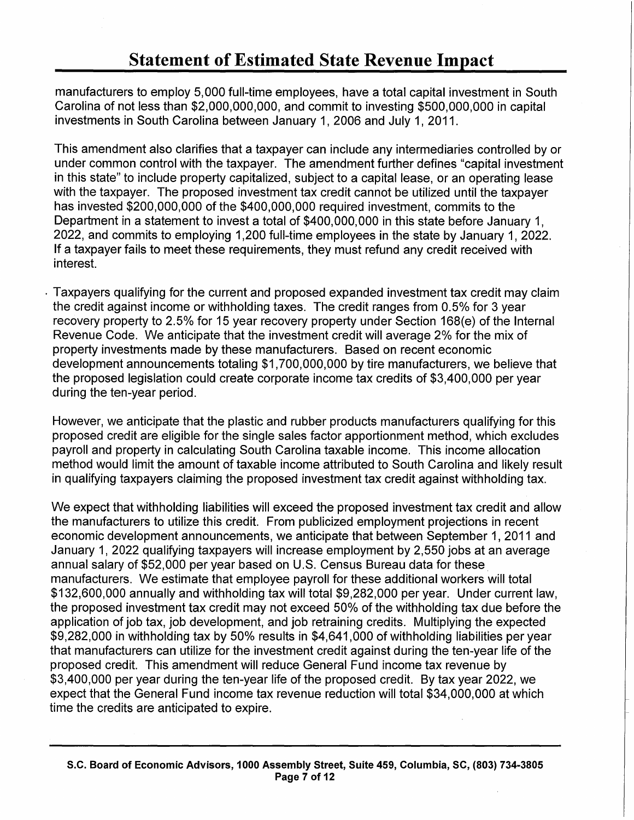manufacturers to employ 5, 000 full-time employees, have a total capital investment in South Carolina of not less than \$2,000,000,000, and commit to investing \$500,000,000 in capital investments in South Carolina between January 1, 2006 and July 1, 2011.

This amendment also clarifies that a taxpayer can include any intermediaries controlled by or under common control with the taxpayer. The amendment further defines "capital investment in this state" to include property capitalized, subject to a capital lease, or an operating lease with the taxpayer. The proposed investment tax credit cannot be utilized until the taxpayer has invested \$200,000,000 of the \$400,000,000 required investment, commits to the Department in a statement to invest a total of \$400,000,000 in this state before January 1, 2022, and commits to employing 1 ,200 full-time employees in the state by January 1, 2022. If a taxpayer fails to meet these requirements, they must refund any credit received with interest.

. Taxpayers qualifying for the current and proposed expanded investment tax credit may claim the credit against income or withholding taxes. The credit ranges from 0.5% for 3 year recovery property to 2.5% for 15 year recovery property under Section 168(e) of the Internal Revenue Code. We anticipate that the investment credit will average 2% for the mix of property investments made by these manufacturers. Based on recent economic development announcements totaling \$1,700,000,000 by tire manufacturers, we believe that the proposed legislation could create corporate income tax credits of \$3,400,000 per year during the ten-year period.

However, we anticipate that the plastic and rubber products manufacturers qualifying for this proposed credit are eligible for the single sales factor apportionment method, which excludes payroll and property in calculating South Carolina taxable income. This income allocation method would limit the amount of taxable income attributed to South Carolina and likely result in qualifying taxpayers claiming the proposed investment tax credit against withholding tax.

We expect that withholding liabilities will exceed the proposed investment tax credit and allow the manufacturers to utilize this credit. From publicized employment projections in recent economic development announcements, we anticipate that between September 1, 2011 and January 1, 2022 qualifying taxpayers will increase employment by 2,550 jobs at an average annual salary of \$52,000 per year based on U.S. Census Bureau data for these, manufacturers. We estimate that employee payroll for these additional workers will total \$132,600,000 annually and withholding tax will total \$9,282,000 per year. Under current law, the proposed investment tax credit may not exceed 50% of the withholding tax due before the application of job tax, job development, and job retraining credits. Multiplying the expected \$9,282,000 in withholding tax by 50% results in \$4,641,000 of withholding liabilities per year that manufacturers can utilize for the investment credit against during the ten-year life of the proposed credit. This amendment will reduce General Fund income tax revenue by \$3,400,000 per year during the ten-year life of the proposed credit. By tax year 2022, we expect that the General Fund income tax revenue reduction will total \$34,000,000 at which time the credits are anticipated to expire.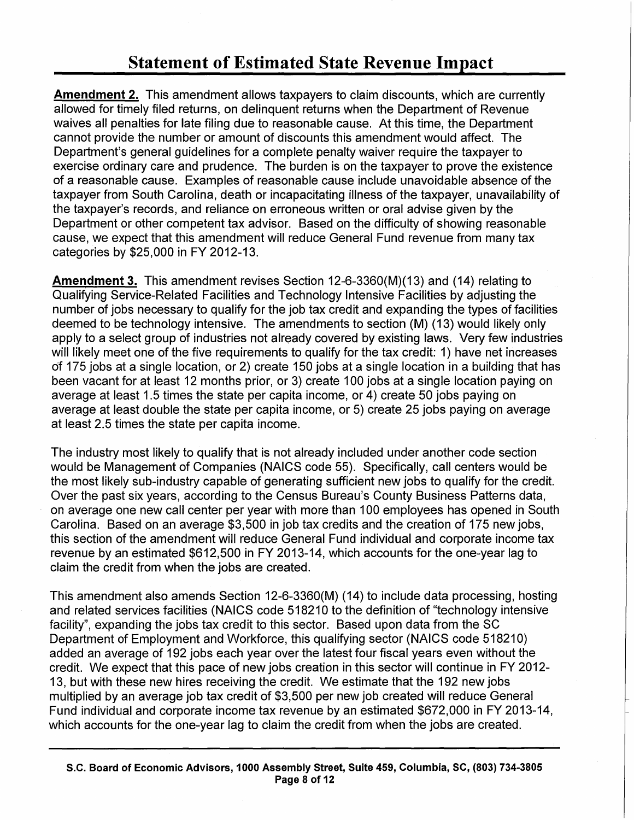Amendment 2. This amendment allows taxpayers to claim discounts, which are currently allowed for timely filed returns, on delinquent returns when the Department of Revenue waives all penalties for late filing due to reasonable cause. At this time, the Department cannot provide the number or amount of discounts this amendment would affect. The Department's general guidelines for a complete penalty waiver require the taxpayer to exercise ordinary care and prudence. The burden is on the taxpayer to prove the existence of a reasonable cause. Examples of reasonable cause include unavoidable absence of the taxpayer from South Carolina, death or incapacitating illness of the taxpayer, unavailability of the taxpayer's records, and reliance on erroneous written or oral advise given by the Department or other competent tax advisor. Based on the difficulty of showing reasonable cause, we expect that this amendment will reduce General Fund revenue from many tax categories by \$25,000 in FY 2012-13.

Amendment 3. This amendment revises Section 12-6-3360(M)(13) and (14) relating to Qualifying Service-Related Facilities and Technology Intensive Facilities by adjusting the number of jobs necessary to qualify for the job tax credit and expanding the types of facilities deemed to be technology intensive. The amendments to section (M) (13) would likely only apply to a select group of industries not already covered by existing laws. Very few industries will likely meet one of the five requirements to qualify for the tax credit: 1) have net increases df 175 jobs at a single location, or 2) create 150 jobs at a single location in a building that has been vacant for at least 12 months prior, or 3) create 100 jobs at a single location paying on average at least 1.5 times the state per capita income, or 4) create 50 jobs paying on average at least double the state per capita income, or 5) create 25 jobs paying on average at least 2.5 times the state per capita income.

The industry most likely to qualify that is not already included under another code section would be Management of Companies (NAICS code 55). Specifically, call centers would be the most likely sub-industry capable of generating sufficient new jobs to qualify for the credit. Over the past six years, according to the Census Bureau's County Business Patterns data, on average one new call center per year with more than 1 00 employees has opened in South Carolina. Based on an average \$3,500 in job tax credits and the creation of 175 new jobs, this section of the amendment will reduce General Fund individual and corporate income tax revenue by an estimated \$612,500 in FY 2013-14, which accounts for the one-year lag to claim the credit from when the jobs are created.

This amendment also amends Section 12-6-3360(M) (14) to include data processing, hosting and related services facilities (NAICS code 518210 to the definition of "technology intensive facility", expanding the jobs tax credit to this sector. Based upon data from the SC Department of Employment and Workforce, this qualifying sector (NAICS code 518210) added an average of 192 jobs each year over the latest four fiscal years even without the credit. We expect that this pace of new jobs creation in this sector will continue in FY 2012- 13, but with these new hires receiving the credit. We estimate that the 192 new jobs multiplied by an average job tax credit of \$3,500 per new job created will reduce General Fund individual and corporate income tax revenue by an estimated \$672,000 in FY 2013-14, which accounts for the one-year lag to claim the credit from when the jobs are created.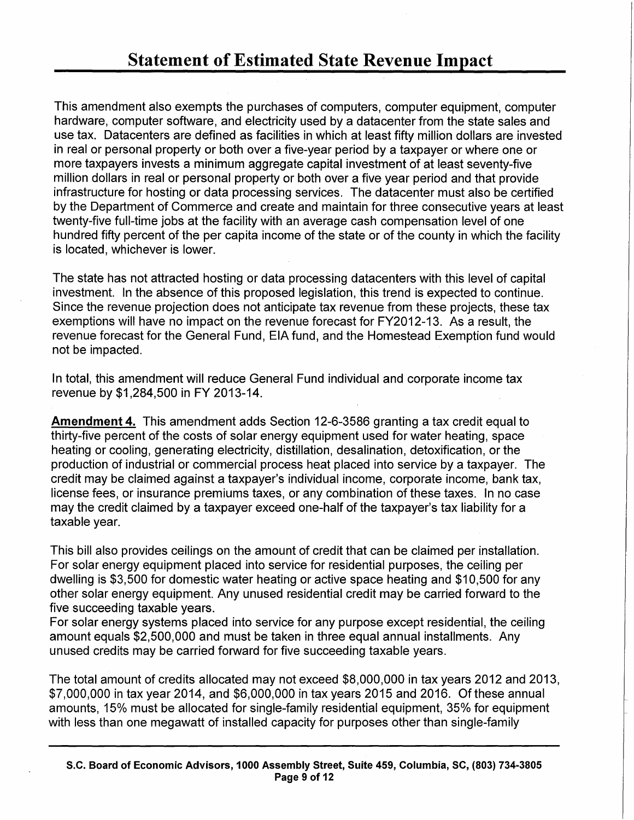This amendment also exempts the purchases of computers, computer equipment, computer hardware, computer software, and electricity used by a datacenter from the state sales and use tax. Datacenters are defined as facilities in which at least fifty million dollars are invested in real or personal property or both over a five-year period by a taxpayer or where one or more taxpayers invests a minimum aggregate capital investment of at least seventy-five million dollars in real or personal property or both over a five year period and that provide infrastructure for hosting or data processing services. The datacenter must also be certified by the Department of Commerce and create and maintain for three consecutive years at least twenty-five full-time jobs at the facility with an average cash compensation level of one hundred fifty percent of the per capita income of the state or of the county in which the facility is located, whichever is lower.

The state has not attracted hosting or data processing datacenters with this level of capital investment. In the absence of this proposed legislation, this trend is expected to continue. Since the revenue projection does not anticipate tax revenue from these projects, these tax exemptions will have no impact on the revenue forecast for FY2012-13. As a result, the revenue forecast for the General Fund, EIA fund, and the Homestead Exemption fund would not be impacted.

In total, this amendment will reduce General Fund individual and corporate income tax revenue by \$1,284,500 in FY 2013-14.

Amendment 4. This amendment adds Section 12-6-3586 granting a tax credit equal to thirty-five percent of the costs of solar energy equipment used for water heating, space heating or cooling, generating electricity, distillation, desalination, detoxification, or the production of industrial or commercial process heat placed into service by a taxpayer. The credit may be claimed against a taxpayer's individual income, corporate income, bank tax, license fees, or insurance premiums taxes, or any combination of these taxes. In no case may the credit claimed by a taxpayer exceed one-half of the taxpayer's tax liability for a taxable year.

This bill also provides ceilings on the amount of credit that can be claimed per installation. For solar energy equipment placed into service for residential purposes, the ceiling per dwelling is \$3,500 for domestic water heating or active space heating and \$10,500 for any other solar energy equipment. Any unused residential credit may be carried forward to the five succeeding taxable years.

For solar energy systems placed into service for any purpose except residential, the ceiling amount equals \$2,500,000 and must be taken in three equal annual installments. Any unused credits may be carried forward for five succeeding taxable years.

The total amount of credits allocated may not exceed \$8,000,000 in tax years 2012 and 2013, \$7,000,000 in tax year 2014, and \$6,000,000 in tax years 2015 and 2016. Of these annual amounts, 15% must be allocated for single-family residential equipment, 35% for equipment with less than one megawatt of installed capacity for purposes other than single-family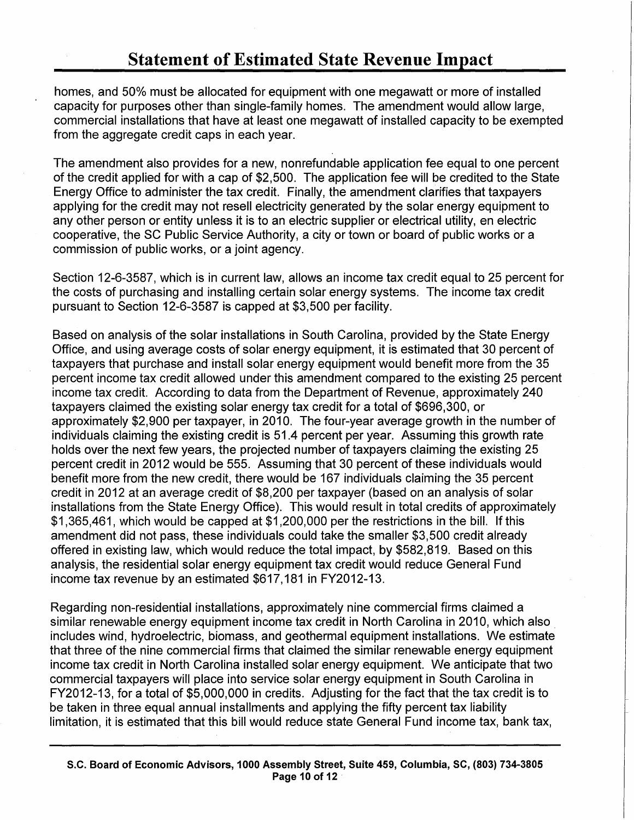homes, and 50% must be allocated for equipment with one megawatt or more of installed capacity for purposes other than single-family homes. The amendment would allow large, commercial installations that have at least one megawatt of installed capacity to be exempted from the aggregate credit caps in each year.

The amendment also provides for a new, nonrefundable application fee equal to one percent of the credit applied for with a cap of \$2,500. The application fee will be credited to the State Energy Office to administer the tax credit. Finally, the amendment clarifies that taxpayers applying for the credit may not resell electricity generated by the solar energy equipment to any other person or entity unless it is to an electric supplier or electrical utility, en electric cooperative, the SC Public Service Authority, a city or town or board of public works or a commission of public works, or a joint agency.

Section 12-6-3587, which is in current law, allows an income tax credit equal to 25 percent for the costs of purchasing and installing certain solar energy systems. The income tax credit pursuant to Section 12-6-3587 is capped at \$3,500 per facility.

Based on analysis of the solar installations in South Carolina, provided by the State Energy Office, and using average costs of solar energy equipment, it is estimated that 30 percent of taxpayers that purchase and install solar energy equipment would benefit more from the 35 percent income tax credit allowed under this amendment compared to the existing 25 percent income tax credit. According to data from the Department of Revenue, approximately 240 taxpayers claimed the existing solar energy tax credit for a total of \$696,300, or approximately \$2,900 per taxpayer, in 2010. The four-year average growth in the number of individuals claiming the existing credit is 51.4 percent per year. Assuming this growth rate holds over the next few years, the projected number of taxpayers claiming the existing 25 percent credit in 2012 would be 555. Assuming that 30 percent of these individuals would benefit more from the new credit, there would be 167 individuals claiming the 35 percent credit in 2012 at an average credit of \$8,200 per taxpayer (based on an analysis of solar installations from the State Energy Office). This would result in total credits of approximately \$1,365,461, which would be capped at \$1,200,000 per the restrictions in the bill. If this amendment did not pass, these individuals could take the smaller \$3,500 credit already offered in existing law, which would reduce the total impact, by \$582,819. Based on this analysis, the residential solar energy equipment tax credit would reduce General Fund income tax revenue by an estimated \$617,181 in FY2012-13.

Regarding non-residential installations, approximately nine commercial firms claimed a similar renewable energy equipment income tax credit in North Carolina in 2010, which also includes wind, hydroelectric, biomass, and geothermal equipment installations. We estimate that three of the nine commercial firms that claimed the similar renewable energy equipment income tax credit in North Carolina installed solar energy equipment. We anticipate that two commercial taxpayers will place into service solar energy equipment in South Carolina in FY2012-13, for a total of \$5,000,000 in credits. Adjusting for the fact that the tax credit is to be taken in three equal annual installments and applying the fifty percent tax liability limitation, it is estimated that this bill would reduce state General Fund income tax, bank tax,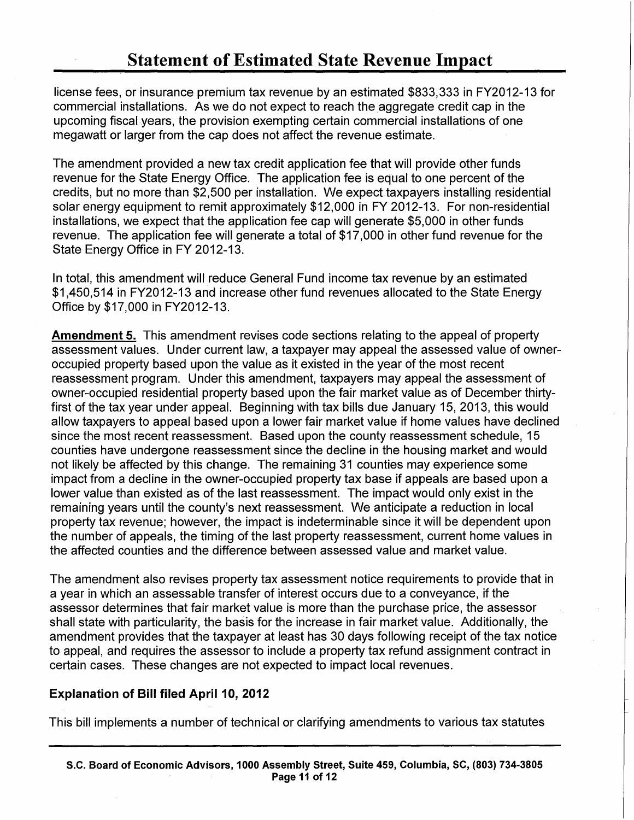license fees, or insurance premium tax revenue by an estimated \$833,333 in FY2012-13 for commercial installations. As we do not expect to reach the aggregate credit cap in the upcoming fiscal years, the provision exempting certain commercial installations of one megawatt or larger from the cap does not affect the revenue estimate.

The amendment provided a new tax credit application fee that will provide other funds revenue for the State Energy Office. The application fee is equal to one percent of the credits, but no more than \$2,500 per installation. We expect taxpayers installing residential solar energy equipment to remit approximately \$12,000 in FY 2012-13. For non-residential installations, we expect that the application fee cap will generate \$5,000 in other funds revenue. The application fee will generate a total of \$17,000 in other fund revenue for the State Energy Office in FY 2012-13.

In total, this amendment will reduce General Fund income tax revenue by an estimated \$1,450,514 in FY2012-13 and increase other fund revenues allocated to the State Energy Office by \$17,000 in FY2012-13.

Amendment 5. This amendment revises code sections relating to the appeal of property assessment values. Under current law, a taxpayer may appeal the assessed value of owneroccupied property based upon the value as it existed in the year of the most recent reassessment program. Under this amendment, taxpayers may appeal the assessment of owner-occupied residential property based upon the fair market value as of December thirtyfirst of the tax year under appeal. Beginning with tax bills due January 15, 2013, this would allow taxpayers to appeal based upon a lower fair market value if home values have declined since the most recent reassessment. Based upon the county reassessment schedule, 15 counties have undergone reassessment since the decline in the housing market and would not likely be affected by this change. The remaining 31 counties may experience some impact from a decline in the owner-occupied property tax base if appeals are based upon a lower value than existed as of the last reassessment. The impact would only exist in the remaining years until the county's next reassessment. We anticipate a reduction in local property tax revenue; however, the impact is indeterminable since it will be dependent upon the number of appeals, the timing of the last property reassessment, current home values in the affected counties and the difference between assessed value and market value.

The amendment also revises property tax assessment notice requirements to provide that in a year in which an assessable transfer of interest occurs due to a conveyance, if the assessor determines that fair market value is more than the purchase price, the assessor shall state with particularity, the basis for the increase in fair market value. Additionally, the amendment provides that the taxpayer at least has 30 days following receipt of the tax notice to appeal, and requires the assessor to include a property tax refund assignment contract in certain cases. These changes are not expected to impact local revenues.

### Explanation of Bill filed April 10, 2012

This bill implements a number of technical or clarifying amendments to various tax statutes